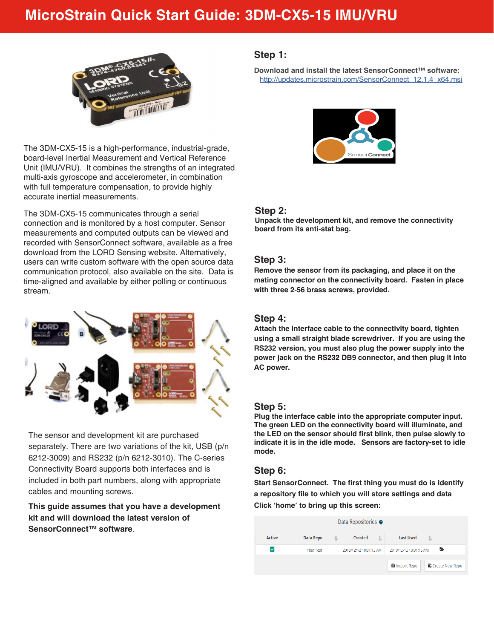# **MicroStrain Quick Start Guide: 3DM-CX5-15 IMU/VRU**



The 3DM-CX5-15 is a high-performance, industrial-grade, board-level Inertial Measurement and Vertical Reference Unit (IMU/VRU). It combines the strengths of an integrated multi-axis gyroscope and accelerometer, in combination with full temperature compensation, to provide highly accurate inertial measurements.

The 3DM-CX5-15 communicates through a serial connection and is monitored by a host computer. Sensor measurements and computed outputs can be viewed and recorded with SensorConnect software, available as a free download from the LORD Sensing website. Alternatively, users can write custom software with the open source data communication protocol, also available on the site. Data is time-aligned and available by either polling or continuous stream.



The sensor and development kit are purchased separately. There are two variations of the kit, USB (p/n 6212-3009) and RS232 (p/n 6212-3010). The C-series Connectivity Board supports both interfaces and is included in both part numbers, along with appropriate cables and mounting screws.

**This guide assumes that you have a development kit and will download the latest version of SensorConnect™ software**.

# **Step 1:**

**Download and install the latest SensorConnect™ software:**  http://updates.microstrain.com/SensorConnect\_12.1.4\_x64.msi



# **Step 2:**

**Unpack the development kit, and remove the connectivity board from its anti-stat bag.** 

# **Step 3:**

**Remove the sensor from its packaging, and place it on the mating connector on the connectivity board. Fasten in place with three 2-56 brass screws, provided.**

# **Step 4:**

**Attach the interface cable to the connectivity board, tighten using a small straight blade screwdriver. If you are using the RS232 version, you must also plug the power supply into the power jack on the RS232 DB9 connector, and then plug it into AC power.** 

# **Step 5:**

**Plug the interface cable into the appropriate computer input. The green LED on the connectivity board will illuminate, and the LED on the sensor should first blink, then pulse slowly to indicate it is in the idle mode. Sensors are factory-set to idle mode.**

# **Step 6:**

**Start SensorConnect. The first thing you must do is identify a repository file to which you will store settings and data Click 'home' to bring up this screen:** 

| Data Repositories <sup>o</sup> |                        |                        |                        |                          |  |  |
|--------------------------------|------------------------|------------------------|------------------------|--------------------------|--|--|
| <b>Active</b>                  | <b>Data Repo</b><br>11 | Created                | <b>Last Used</b><br>11 |                          |  |  |
| M                              | Your Test              | 2019/12/12 10:01:13 AM | 2019/12/12 10:01:13 AM | a                        |  |  |
|                                |                        |                        | <b>En</b> Import Repo  | <b>G</b> Create New Repo |  |  |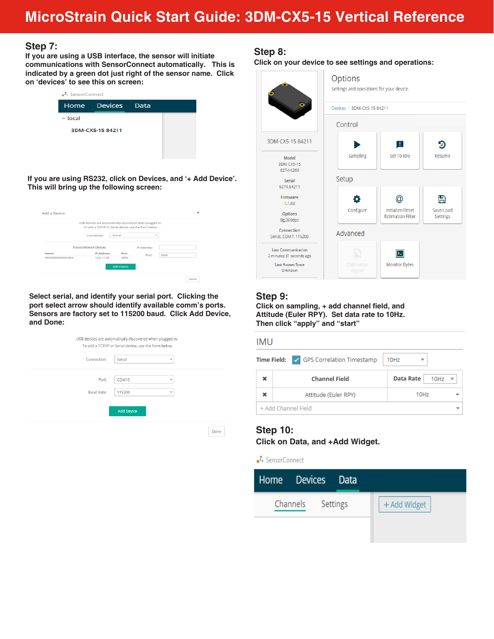# **MicroStrain Quick Start Guide: 3DM-CX5-15 Vertical Reference**

### **Step 7:**

**If you are using a USB interface, the sensor will initiate communications with SensorConnect automatically. This is indicated by a green dot just right of the sensor name. Click on 'devices' to see this on screen:**

| ● SensorConnect |                   |  |  |  |  |
|-----------------|-------------------|--|--|--|--|
|                 | Home Devices Data |  |  |  |  |
| $\vee$ local    |                   |  |  |  |  |
|                 | 3DM-CX5-15 84211  |  |  |  |  |
|                 |                   |  |  |  |  |
|                 |                   |  |  |  |  |

**If you are using RS232, click on Devices, and '+ Add Device'. This will bring up the following screen:**

|                 | USB devices are automatically discovered when plugged in. |        |             |      |  |
|-----------------|-----------------------------------------------------------|--------|-------------|------|--|
|                 | To add a TCP/IP or Serial device, use the form below.     |        |             |      |  |
|                 | Connection:                                               | TCP/IP | ٠           |      |  |
|                 | Found Network Devices                                     |        | IP Address: |      |  |
| Name            | <b>IP Address</b>                                         | Port   | Port:       | 5000 |  |
| W02000000090353 | 10.6.11.95                                                | 5000   |             |      |  |
|                 |                                                           |        |             |      |  |

**Select serial, and identify your serial port. Clicking the port select arrow should identify available comm's ports. Sensors are factory set to 115200 baud. Click Add Device, and Done:** 

| Connection: | Serial            | $\overline{\mathbf{v}}$  |  |
|-------------|-------------------|--------------------------|--|
|             |                   | v                        |  |
| Port:       | COM15             |                          |  |
| Baud Rate:  | 115200            | $\overline{\phantom{a}}$ |  |
|             |                   |                          |  |
|             | <b>Add Device</b> |                          |  |

# **Step 8:**

**Click on your device to see settings and operations:**

|                                                       | Options<br>Settings and operations for your device. |                                              |                              |  |  |
|-------------------------------------------------------|-----------------------------------------------------|----------------------------------------------|------------------------------|--|--|
|                                                       | Devices / 3DM-CX5-15 84211                          |                                              |                              |  |  |
|                                                       | Control                                             |                                              |                              |  |  |
| 3DM-CX5-15 84211                                      |                                                     | H                                            | Đ                            |  |  |
| Model<br>3DM-CX5-15<br>6274-4260                      | Sampling                                            | Set To Idle                                  | Resume                       |  |  |
| Serial<br>6274.84211                                  | Setup                                               |                                              |                              |  |  |
| Firmware<br>1.1.68                                    |                                                     |                                              | m                            |  |  |
| <b>Options</b><br>8g,300dps                           | Configure                                           | Initialize/Reset<br><b>Estimation Filter</b> | Save/Load<br><b>Settings</b> |  |  |
| Connection<br>Serial, COM7, 115200                    | Advanced                                            |                                              |                              |  |  |
| <b>Last Communication</b><br>2 minutes 31 seconds ago | E                                                   | Ρ.                                           |                              |  |  |
| <b>Last Known State</b><br>Unknown                    | Calibration<br>Report                               | <b>Monitor Bytes</b>                         |                              |  |  |

# **Step 9:**

**Click on sampling, + add channel field, and Attitude (Euler RPY). Set data rate to 10Hz. Then click "apply" and "start"**

#### **IMU**

| <b>Time Field:</b> $\sqrt{GBS}$ Correlation Timestamp | 10Hz                                  |  |
|-------------------------------------------------------|---------------------------------------|--|
| <b>Channel Field</b>                                  | <b>Data Rate</b><br>$10Hz$ $\sqrt{ }$ |  |
| Attitude (Euler RPY)                                  | 10Hz                                  |  |
| + Add Channel Field                                   |                                       |  |

# **Step 10:**

**Click on Data, and +Add Widget.**

SensorConnect

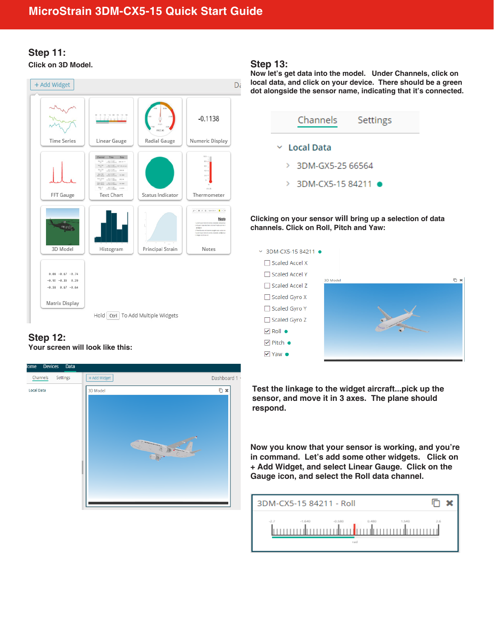# **Step 11: Click on 3D Model. Step 13:**

#### + Add Widget Dč  $-0.1138$ Radial Gauge Numeric Display **Time Series** Linear Gauge Channel Time Data  $\begin{array}{lll} \mathbf{u}_{\mathcal{M}}(\mathbf{x}) & \text{if $\mathcal{M}$ is $0, 0$} \\ \mathbf{u}_{\mathcal{M}}(\mathbf{x}) & \text{if $\mathcal{M}$ is $0, 0$} \\ \mathbf{u}_{\mathcal{M}}(\mathbf{x}) & \text{if $\mathcal{M}$ is $0, 0$} \end{array}$  $\frac{\log 200}{\log 200}$  . The filler  $\frac{1}{\log 200}$ 加工加工 FFT Gauge **Text Chart** Status Indicator Thermometer  $\label{eq:3} p\in\left[\begin{array}{cc} \mathbf{g} & \mathbf{g} \end{array}\right] \text{ if } \mathbf{g}\in\left[\begin{array}{cc} \mathbf{g} & \mathbf{g} \end{array}\right] \text{ for some } \mathbf{g}\in\left[\begin{array}{cc} \mathbf{g} & \mathbf{g} \end{array}\right]$ Note Histogram 3D Model Principal Strain Notes  $0.08 - 0.67 - 0.74$  $-0.92 -0.33 0.20$  $-0.38$   $0.67$   $-0.64$ Matrix Display Hold Ctrl | To Add Multiple Widgets

# **Step 12: Your screen will look like this:**



**Now let's get data into the model. Under Channels, click on local data, and click on your device. There should be a green dot alongside the sensor name, indicating that it's connected.**



**Clicking on your sensor will bring up a selection of data channels. Click on Roll, Pitch and Yaw:**



**Test the linkage to the widget aircraft...pick up the sensor, and move it in 3 axes. The plane should respond.** 

**Now you know that your sensor is working, and you're in command. Let's add some other widgets. Click on + Add Widget, and select Linear Gauge. Click on the Gauge icon, and select the Roll data channel.**